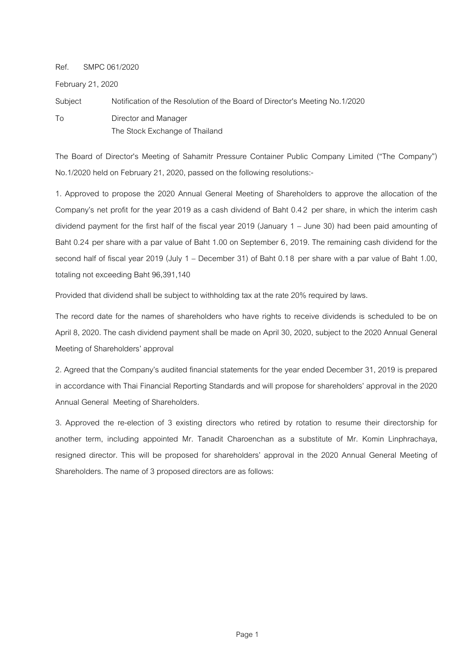Ref. SMPC 061/2020

February 21, 2020

Subject Notification of the Resolution of the Board of Director's Meeting No.1/2020 To Director and Manager The Stock Exchange of Thailand

The Board of Director's Meeting of Sahamitr Pressure Container Public Company Limited ("The Company") No.1/2020 held on February 21, 2020, passed on the following resolutions:-

1. Approved to propose the 2020 Annual General Meeting of Shareholders to approve the allocation of the Company's net profit for the year 2019 as a cash dividend of Baht 0.4 2 per share, in which the interim cash dividend payment for the first half of the fiscal year 2019 (January 1 – June 30) had been paid amounting of Baht 0.24 per share with a par value of Baht 1.00 on September 6, 2019. The remaining cash dividend for the second half of fiscal year 2019 (July 1 – December 31) of Baht 0.18 per share with a par value of Baht 1.00, totaling not exceeding Baht 96,391,140

Provided that dividend shall be subject to withholding tax at the rate 20% required by laws.

The record date for the names of shareholders who have rights to receive dividends is scheduled to be on April 8, 2020. The cash dividend payment shall be made on April 30, 2020, subject to the 2020 Annual General Meeting of Shareholders' approval

2. Agreed that the Company's audited financial statements for the year ended December 31, 2019 is prepared in accordance with Thai Financial Reporting Standards and will propose for shareholders' approval in the 2020 Annual General Meeting of Shareholders.

3. Approved the re-election of 3 existing directors who retired by rotation to resume their directorship for another term, including appointed Mr. Tanadit Charoenchan as a substitute of Mr. Komin Linphrachaya, resigned director. This will be proposed for shareholders' approval in the 2020 Annual General Meeting of Shareholders. The name of 3 proposed directors are as follows: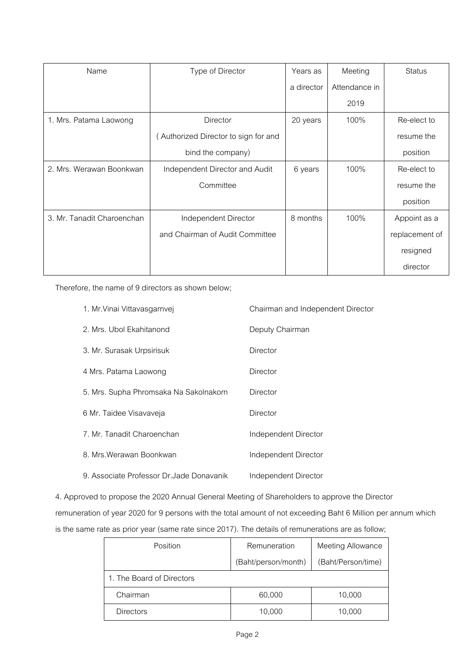| Name                       | Type of Director                     | Years as   | Meeting       | <b>Status</b>  |
|----------------------------|--------------------------------------|------------|---------------|----------------|
|                            |                                      | a director | Attendance in |                |
|                            |                                      |            | 2019          |                |
| 1. Mrs. Patama Laowong     | Director                             | 20 years   | 100%          | Re-elect to    |
|                            | (Authorized Director to sign for and |            |               | resume the     |
|                            | bind the company)                    |            |               | position       |
| 2. Mrs. Werawan Boonkwan   | Independent Director and Audit       | 6 years    | 100%          | Re-elect to    |
|                            | Committee                            |            |               | resume the     |
|                            |                                      |            |               | position       |
| 3. Mr. Tanadit Charoenchan | Independent Director                 | 8 months   | 100%          | Appoint as a   |
|                            | and Chairman of Audit Committee      |            |               | replacement of |
|                            |                                      |            |               | resigned       |
|                            |                                      |            |               | director       |

Therefore, the name of 9 directors as shown below;

| 1. Mr. Vinai Vittavasgarnvej              | Chairman and Independent Director |
|-------------------------------------------|-----------------------------------|
| 2. Mrs. Ubol Ekahitanond                  | Deputy Chairman                   |
| 3. Mr. Surasak Urpsirisuk                 | Director                          |
| 4 Mrs. Patama Laowong                     | Director                          |
| 5. Mrs. Supha Phromsaka Na Sakolnakorn    | Director                          |
| 6 Mr. Taidee Visavaveja                   | Director                          |
| 7. Mr. Tanadit Charoenchan                | Independent Director              |
| 8. Mrs. Werawan Boonkwan                  | Independent Director              |
| 9. Associate Professor Dr. Jade Donavanik | Independent Director              |

4. Approved to propose the 2020 Annual General Meeting of Shareholders to approve the Director

remuneration of year 2020 for 9 persons with the total amount of not exceeding Baht 6 Million per annum which is the same rate as prior year (same rate since 2017). The details of remunerations are as follow;

| Position                  | Remuneration        | <b>Meeting Allowance</b> |
|---------------------------|---------------------|--------------------------|
|                           | (Baht/person/month) | (Baht/Person/time)       |
| 1. The Board of Directors |                     |                          |
| Chairman                  | 60,000              | 10,000                   |
| <b>Directors</b>          | 10,000              | 10,000                   |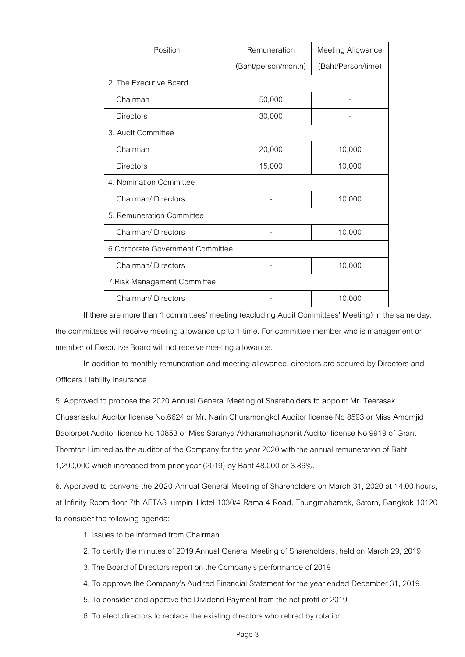| Position                          | Remuneration        | Meeting Allowance  |  |  |  |
|-----------------------------------|---------------------|--------------------|--|--|--|
|                                   | (Baht/person/month) | (Baht/Person/time) |  |  |  |
| 2. The Executive Board            |                     |                    |  |  |  |
| Chairman                          | 50,000              |                    |  |  |  |
| <b>Directors</b>                  | 30,000              |                    |  |  |  |
| 3. Audit Committee                |                     |                    |  |  |  |
| Chairman                          | 20,000              | 10,000             |  |  |  |
| <b>Directors</b>                  | 15,000              | 10,000             |  |  |  |
| 4. Nomination Committee           |                     |                    |  |  |  |
| Chairman/Directors                |                     | 10,000             |  |  |  |
| 5. Remuneration Committee         |                     |                    |  |  |  |
| Chairman/Directors                |                     | 10,000             |  |  |  |
| 6. Corporate Government Committee |                     |                    |  |  |  |
| Chairman/Directors                |                     | 10,000             |  |  |  |
| 7. Risk Management Committee      |                     |                    |  |  |  |
| Chairman/Directors                |                     | 10,000             |  |  |  |

If there are more than 1 committees' meeting (excluding Audit Committees' Meeting) in the same day, the committees will receive meeting allowance up to 1 time. For committee member who is management or member of Executive Board will not receive meeting allowance.

In addition to monthly remuneration and meeting allowance, directors are secured by Directors and Officers Liability Insurance

5. Approved to propose the 2020 Annual General Meeting of Shareholders to appoint Mr. Teerasak Chuasrisakul Auditor license No.6624 or Mr. Narin Churamongkol Auditor license No 8593 or Miss Amornjid Baolorpet Auditor license No 10853 or Miss Saranya Akharamahaphanit Auditor license No 9919 of Grant Thornton Limited as the auditor of the Company for the year 2020 with the annual remuneration of Baht 1,290,000 which increased from prior year (2019) by Baht 48,000 or 3.86%.

6. Approved to convene the 2020 Annual General Meeting of Shareholders on March 31, 2020 at 14.00 hours, at Infinity Room floor 7th AETAS lumpini Hotel 1030/4 Rama 4 Road, Thungmahamek, Satorn, Bangkok 10120 to consider the following agenda:

- 1. Issues to be informed from Chairman
- 2. To certify the minutes of 2019 Annual General Meeting of Shareholders, held on March 29, 2019
- 3. The Board of Directors report on the Company's performance of 2019
- 4. To approve the Company's Audited Financial Statement for the year ended December 31, 2019
- 5. To consider and approve the Dividend Payment from the net profit of 2019
- 6. To elect directors to replace the existing directors who retired by rotation